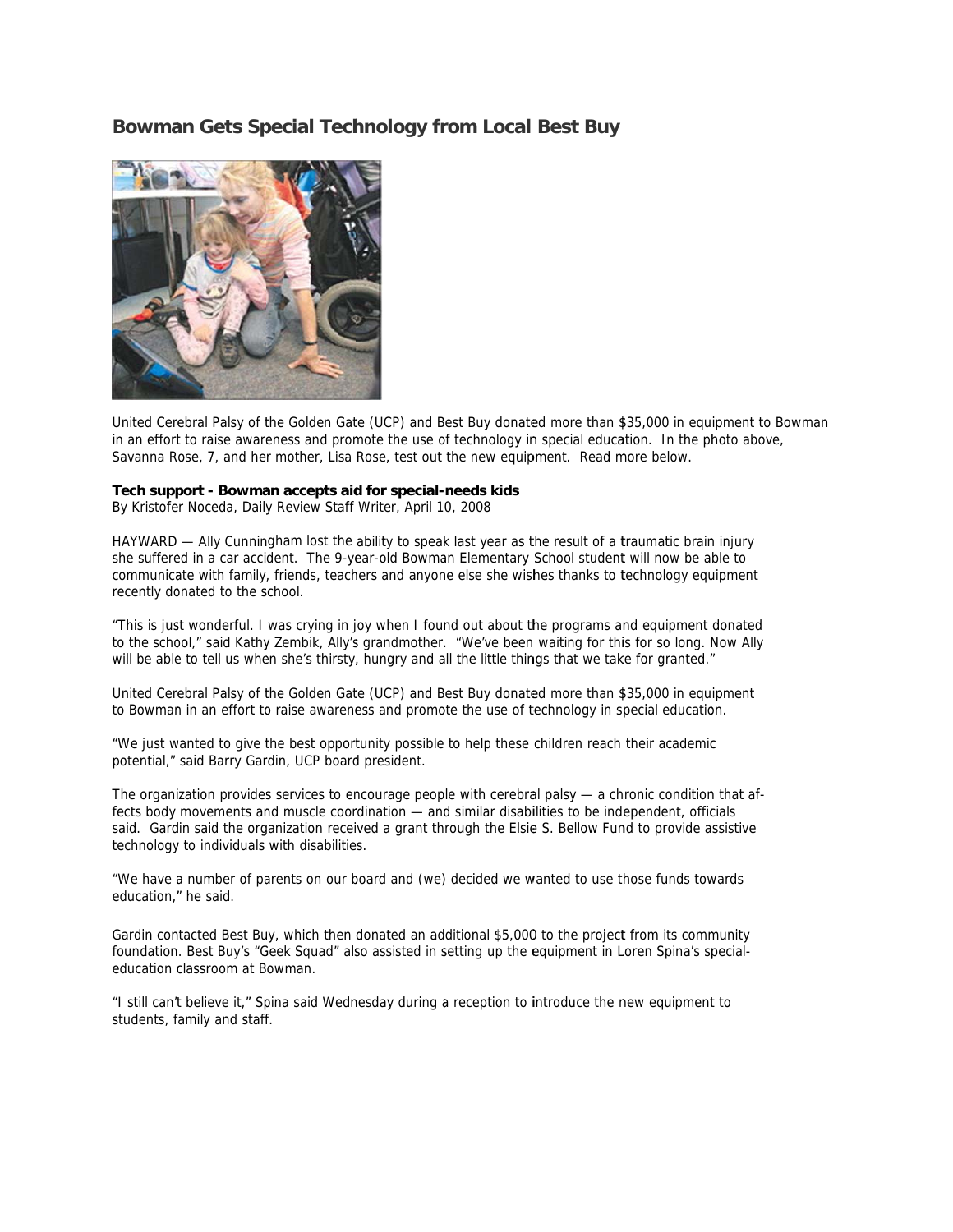## Bowman Gets Special Technology from Local Best Buy



United Cerebral Palsy of the Golden Gate (UCP) and Best Buy donated more than \$35,000 in equipment to Bowman in an effort to raise awareness and promote the use of technology in special education. In the photo above, Savanna Rose, 7, and her mother, Lisa Rose, test out the new equipment. Read more below.

## Tech support - Bowman accepts aid for special-needs kids

By Kristofer Noceda, Daily Review Staff Writer, April 10, 2008

HAYWARD — Ally Cunningham lost the ability to speak last year as the result of a traumatic brain injury she suffered in a car accident. The 9-year-old Bowman Elementary School student will now be able to communicate with family, friends, teachers and anyone else she wishes thanks to technology equipment recently donated to the school.

"This is just wonderful. I was crying in joy when I found out about the programs and equipment donated to the school," said Kathy Zembik, Ally's grandmother. "We've been waiting for this for so long. Now Ally will be able to tell us when she's thirsty, hungry and all the little things that we take for granted."

United Cerebral Palsy of the Golden Gate (UCP) and Best Buy donated more than \$35,000 in equipment to Bowman in an effort to raise awareness and promote the use of technology in special education.

"We just wanted to give the best opportunity possible to help these children reach their academic potential," said Barry Gardin, UCP board president.

The organization provides services to encourage people with cerebral palsy  $-$  a chronic condition that affects body movements and muscle coordination - and similar disabilities to be independent, officials said. Gardin said the organization received a grant through the Elsie S. Bellow Fund to provide assistive technology to individuals with disabilities.

"We have a number of parents on our board and (we) decided we wanted to use those funds towards education." he said.

Gardin contacted Best Buy, which then donated an additional \$5,000 to the project from its community foundation. Best Buy's "Geek Squad" also assisted in setting up the equipment in Loren Spina's specialeducation classroom at Bowman.

"I still can't believe it," Spina said Wednesday during a reception to introduce the new equipment to students, family and staff.